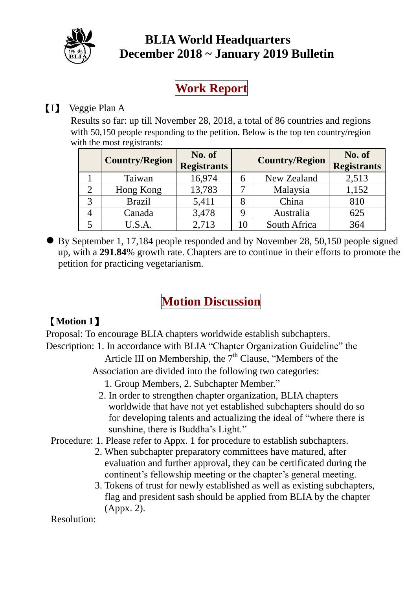

## **BLIA World Headquarters December 2018 ~ January 2019 Bulletin**

**Work Report**

## 【I】 Veggie Plan A

Results so far: up till November 28, 2018, a total of 86 countries and regions with 50,150 people responding to the petition. Below is the top ten country/region with the most registrants:

| <b>Country/Region</b> | No. of<br><b>Registrants</b> |    | <b>Country/Region</b> | No. of<br><b>Registrants</b> |
|-----------------------|------------------------------|----|-----------------------|------------------------------|
| Taiwan                | 16,974                       | 6  | New Zealand           | 2,513                        |
| Hong Kong             | 13,783                       |    | Malaysia              | 1,152                        |
| <b>Brazil</b>         | 5,411                        | 8  | China                 | 810                          |
| Canada                | 3,478                        | Q  | Australia             | 625                          |
| U.S.A.                | 2,713                        | 10 | South Africa          | 364                          |

By September 1, 17,184 people responded and by November 28, 50,150 people signed up, with a **291.84**% growth rate. Chapters are to continue in their efforts to promote the petition for practicing vegetarianism.

# **Motion Discussion**

## 【**Motion 1**】

Proposal: To encourage BLIA chapters worldwide establish subchapters. Description: 1. In accordance with BLIA "Chapter Organization Guideline" the

Article III on Membership, the  $7<sup>th</sup>$  Clause, "Members of the Association are divided into the following two categories:

- 1. Group Members, 2. Subchapter Member."
- 2. In order to strengthen chapter organization, BLIA chapters worldwide that have not yet established subchapters should do so for developing talents and actualizing the ideal of "where there is sunshine, there is Buddha's Light."

Procedure: 1. Please refer to Appx. 1 for procedure to establish subchapters.

- 2. When subchapter preparatory committees have matured, after evaluation and further approval, they can be certificated during the continent's fellowship meeting or the chapter's general meeting.
- 3. Tokens of trust for newly established as well as existing subchapters, flag and president sash should be applied from BLIA by the chapter (Appx. 2).

Resolution: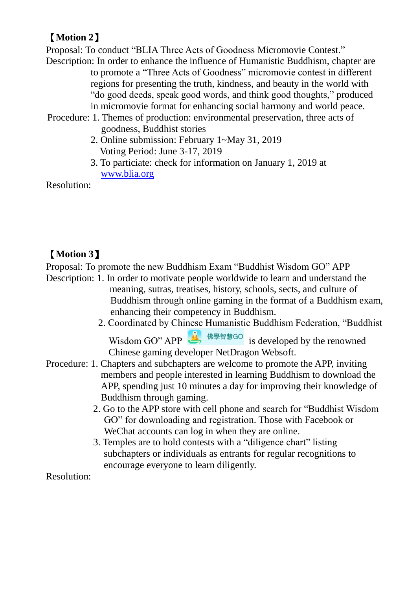### 【**Motion 2**】

Proposal: To conduct "BLIA Three Acts of Goodness Micromovie Contest."

Description: In order to enhance the influence of Humanistic Buddhism, chapter are to promote a "Three Acts of Goodness" micromovie contest in different regions for presenting the truth, kindness, and beauty in the world with "do good deeds, speak good words, and think good thoughts," produced in micromovie format for enhancing social harmony and world peace.

- Procedure: 1. Themes of production: environmental preservation, three acts of goodness, Buddhist stories
	- 2. Online submission: February 1~May 31, 2019 Voting Period: June 3-17, 2019
	- 3. To particiate: check for information on January 1, 2019 at [www.blia.org](http://www.blia.org/)

Resolution:

## 【**Motion 3**】

Proposal: To promote the new Buddhism Exam "Buddhist Wisdom GO" APP

- Description: 1. In order to motivate people worldwide to learn and understand the meaning, sutras, treatises, history, schools, sects, and culture of Buddhism through online gaming in the format of a Buddhism exam, enhancing their competency in Buddhism.
	- 2. Coordinated by Chinese Humanistic Buddhism Federation, "Buddhist Wisdom GO" APP  $\frac{1}{\sqrt{2}}$  # # # is developed by the renowned

Chinese gaming developer NetDragon Websoft.

- Procedure: 1. Chapters and subchapters are welcome to promote the APP, inviting members and people interested in learning Buddhism to download the APP, spending just 10 minutes a day for improving their knowledge of Buddhism through gaming.
	- 2. Go to the APP store with cell phone and search for "Buddhist Wisdom GO" for downloading and registration. Those with Facebook or WeChat accounts can log in when they are online.
	- 3. Temples are to hold contests with a "diligence chart" listing subchapters or individuals as entrants for regular recognitions to encourage everyone to learn diligently.

Resolution: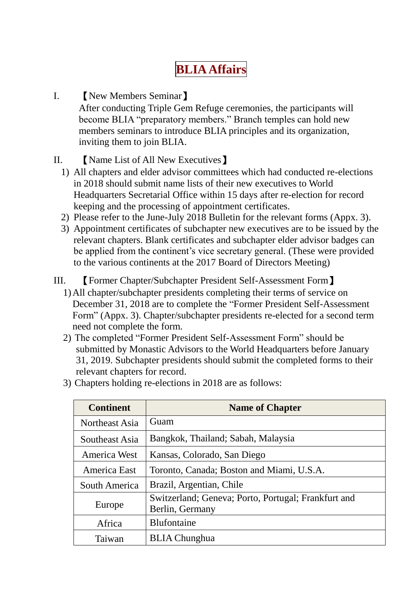# **BLIA Affairs**

- I. 【New Members Seminar】 After conducting Triple Gem Refuge ceremonies, the participants will become BLIA "preparatory members." Branch temples can hold new members seminars to introduce BLIA principles and its organization, inviting them to join BLIA.
- II. 【Name List of All New Executives】
	- 1) All chapters and elder advisor committees which had conducted re-elections in 2018 should submit name lists of their new executives to World Headquarters Secretarial Office within 15 days after re-election for record keeping and the processing of appointment certificates.
	- 2) Please refer to the June-July 2018 Bulletin for the relevant forms (Appx. 3).
	- 3) Appointment certificates of subchapter new executives are to be issued by the relevant chapters. Blank certificates and subchapter elder advisor badges can be applied from the continent's vice secretary general. (These were provided to the various continents at the 2017 Board of Directors Meeting)
- III. 【Former Chapter/Subchapter President Self-Assessment Form】
	- 1)All chapter/subchapter presidents completing their terms of service on December 31, 2018 are to complete the "Former President Self-Assessment Form" (Appx. 3). Chapter/subchapter presidents re-elected for a second term need not complete the form.
	- 2) The completed "Former President Self-Assessment Form" should be submitted by Monastic Advisors to the World Headquarters before January 31, 2019. Subchapter presidents should submit the completed forms to their relevant chapters for record.

| <b>Continent</b> | <b>Name of Chapter</b>                                                 |  |  |
|------------------|------------------------------------------------------------------------|--|--|
| Northeast Asia   | Guam                                                                   |  |  |
| Southeast Asia   | Bangkok, Thailand; Sabah, Malaysia                                     |  |  |
| America West     | Kansas, Colorado, San Diego                                            |  |  |
| America East     | Toronto, Canada; Boston and Miami, U.S.A.                              |  |  |
| South America    | Brazil, Argentian, Chile                                               |  |  |
| Europe           | Switzerland; Geneva; Porto, Portugal; Frankfurt and<br>Berlin, Germany |  |  |
| Africa           | <b>Blufontaine</b>                                                     |  |  |
| Taiwan           | <b>BLIA</b> Chunghua                                                   |  |  |

3) Chapters holding re-elections in 2018 are as follows: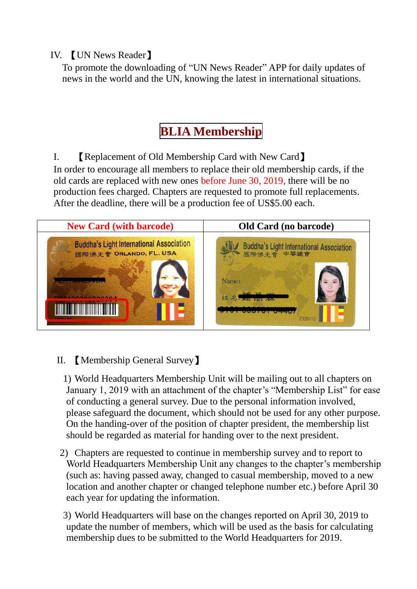#### IV. 【UN News Reader】

To promote the downloading of "UN News Reader" APP for daily updates of news in the world and the UN, knowing the latest in international situations.

# **BLIA Membership**

I. 【Replacement of Old Membership Card with New Card】 In order to encourage all members to replace their old membership cards, if the old cards are replaced with new ones before June 30, 2019, there will be no production fees charged. Chapters are requested to promote full replacements. After the deadline, there will be a production fee of US\$5.00 each.



### II. 【Membership General Survey】

1) World Headquarters Membership Unit will be mailing out to all chapters on January 1, 2019 with an attachment of the chapter's "Membership List" for ease of conducting a general survey. Due to the personal information involved, please safeguard the document, which should not be used for any other purpose. On the handing-over of the position of chapter president, the membership list should be regarded as material for handing over to the next president.

- 2) Chapters are requested to continue in membership survey and to report to World Headquarters Membership Unit any changes to the chapter's membership (such as: having passed away, changed to casual membership, moved to a new location and another chapter or changed telephone number etc.) before April 30 each year for updating the information.
- 3) World Headquarters will base on the changes reported on April 30, 2019 to update the number of members, which will be used as the basis for calculating membership dues to be submitted to the World Headquarters for 2019.